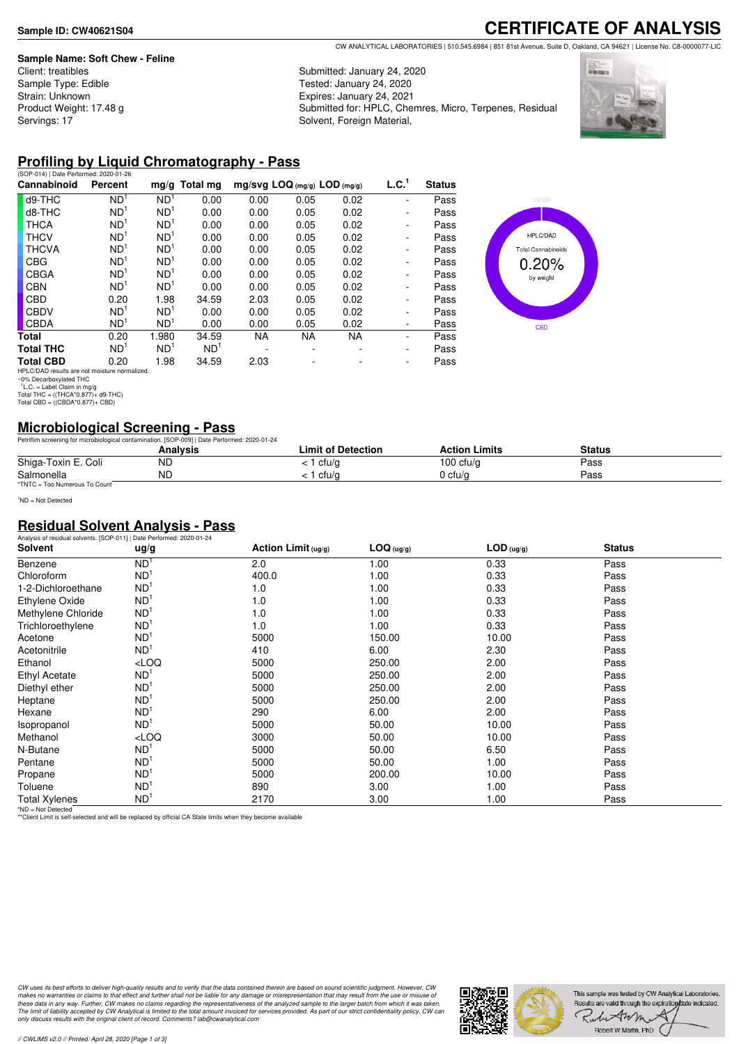#### **Sample Name: Soft Chew - Feline**

Client: treatibles Sample Type: Edible Strain: Unknown Product Weight: 17.48 g Servings: 17

## **CERTIFICATE OF ANALYSIS**

CW ANALYTICAL LABORATORIES | 510.545.6984 | 851 81st Avenue, Suite D, Oakland, CA 94621 | License No. C8-0000077-LIC

Submitted: January 24, 2020 Tested: January 24, 2020 Expires: January 24, 2021 Submitted for: HPLC, Chemres, Micro, Terpenes, Residual Solvent, Foreign Material,



#### **Profiling by Liquid Chromatography - Pass**

| Percent         | $mq/q$ Total mg |                                                                                                                                                   |           |                                |           |                          |               |
|-----------------|-----------------|---------------------------------------------------------------------------------------------------------------------------------------------------|-----------|--------------------------------|-----------|--------------------------|---------------|
|                 |                 |                                                                                                                                                   |           | $mg/svg$ LOQ (mg/g) LOD (mg/g) |           | L.C. <sup>1</sup>        | <b>Status</b> |
| ND <sup>1</sup> | ND <sup>1</sup> | 0.00                                                                                                                                              | 0.00      | 0.05                           | 0.02      |                          | Pass          |
| ND <sup>1</sup> | ND <sup>1</sup> | 0.00                                                                                                                                              | 0.00      | 0.05                           | 0.02      | -                        | Pass          |
| ND <sup>1</sup> | ND <sup>1</sup> | 0.00                                                                                                                                              | 0.00      | 0.05                           | 0.02      | -                        | Pass          |
| ND <sup>1</sup> | ND <sup>1</sup> | 0.00                                                                                                                                              | 0.00      | 0.05                           | 0.02      | $\overline{\phantom{0}}$ | Pass          |
| ND <sup>1</sup> | ND <sup>1</sup> | 0.00                                                                                                                                              | 0.00      | 0.05                           | 0.02      | -                        | Pass          |
| ND <sup>1</sup> | ND <sup>1</sup> | 0.00                                                                                                                                              | 0.00      | 0.05                           | 0.02      | $\overline{\phantom{0}}$ | Pass          |
| ND <sup>1</sup> | ND <sup>1</sup> | 0.00                                                                                                                                              | 0.00      | 0.05                           | 0.02      | -                        | Pass          |
| ND <sup>1</sup> | ND <sup>1</sup> | 0.00                                                                                                                                              | 0.00      | 0.05                           | 0.02      | -                        | Pass          |
| 0.20            | 1.98            | 34.59                                                                                                                                             | 2.03      | 0.05                           | 0.02      | $\overline{\phantom{0}}$ | Pass          |
| ND <sup>1</sup> | ND <sup>1</sup> | 0.00                                                                                                                                              | 0.00      | 0.05                           | 0.02      | ٠                        | Pass          |
| ND <sup>1</sup> | ND <sup>1</sup> | 0.00                                                                                                                                              | 0.00      | 0.05                           | 0.02      | ۰                        | Pass          |
| 0.20            | 1.980           | 34.59                                                                                                                                             | <b>NA</b> | <b>NA</b>                      | <b>NA</b> |                          | Pass          |
| ND <sup>1</sup> | ND <sup>1</sup> | ND <sup>1</sup>                                                                                                                                   |           |                                |           | ٠                        | Pass          |
| 0.20            | 1.98            | 34.59                                                                                                                                             | 2.03      |                                |           | ۰                        | Pass          |
|                 |                 | $\mathbf{F}$ in $\mathbf{F}$ and $\mathbf{F}$ is a set of $\mathbf{F}$ is a set of $\mathbf{F}$ is a set of $\mathbf{F}$ is a set of $\mathbf{F}$ |           |                                |           |                          |               |



### **Microbiological Screening - Pass**

|                               | Petriflim screening for microbiological contamination. [SOP-009]   Date Performed: 2020-01-24 |                    |                      |        |  |
|-------------------------------|-----------------------------------------------------------------------------------------------|--------------------|----------------------|--------|--|
|                               | Analvsis                                                                                      | Limit of Detection | <b>Action Limits</b> | Status |  |
| Shiga-Toxin E. Coli           | ΝC                                                                                            | cfu/g              | 100 cfu/g            | Pass   |  |
| Salmonella                    | <b>ND</b>                                                                                     | cfu/a              | 0 cfu/a              | Pass   |  |
| *TNTC = Too Numerous To Count |                                                                                               |                    |                      |        |  |

<sup>1</sup>ND = Not Detected

#### **Residual Solvent Analysis - Pass**

|                      | Analysis of residual solvents. [SOP-011]   Date Performed: 2020-01-24 |                       |            |              |               |  |  |  |  |
|----------------------|-----------------------------------------------------------------------|-----------------------|------------|--------------|---------------|--|--|--|--|
| <b>Solvent</b>       | ug/g                                                                  | Action Limit $(ug/g)$ | LOG (ug/g) | $LOD$ (ug/g) | <b>Status</b> |  |  |  |  |
| Benzene              | ND <sup>1</sup>                                                       | 2.0                   | 1.00       | 0.33         | Pass          |  |  |  |  |
| Chloroform           | ND <sup>1</sup>                                                       | 400.0                 | 1.00       | 0.33         | Pass          |  |  |  |  |
| 1-2-Dichloroethane   | ND <sup>1</sup>                                                       | 1.0                   | 1.00       | 0.33         | Pass          |  |  |  |  |
| Ethylene Oxide       | ND <sup>1</sup>                                                       | 1.0                   | 1.00       | 0.33         | Pass          |  |  |  |  |
| Methylene Chloride   | ND <sup>1</sup>                                                       | 1.0                   | 1.00       | 0.33         | Pass          |  |  |  |  |
| Trichloroethylene    | ND <sup>1</sup>                                                       | 1.0                   | 1.00       | 0.33         | Pass          |  |  |  |  |
| Acetone              | ND <sup>1</sup>                                                       | 5000                  | 150.00     | 10.00        | Pass          |  |  |  |  |
| Acetonitrile         | ND <sup>1</sup>                                                       | 410                   | 6.00       | 2.30         | Pass          |  |  |  |  |
| Ethanol              | $<$ LOQ                                                               | 5000                  | 250.00     | 2.00         | Pass          |  |  |  |  |
| <b>Ethyl Acetate</b> | ND <sup>1</sup>                                                       | 5000                  | 250.00     | 2.00         | Pass          |  |  |  |  |
| Diethyl ether        | ND <sup>1</sup>                                                       | 5000                  | 250.00     | 2.00         | Pass          |  |  |  |  |
| Heptane              | ND <sup>1</sup>                                                       | 5000                  | 250.00     | 2.00         | Pass          |  |  |  |  |
| Hexane               | ND <sup>1</sup>                                                       | 290                   | 6.00       | 2.00         | Pass          |  |  |  |  |
| Isopropanol          | ND <sup>1</sup>                                                       | 5000                  | 50.00      | 10.00        | Pass          |  |  |  |  |
| Methanol             | $<$ LOQ                                                               | 3000                  | 50.00      | 10.00        | Pass          |  |  |  |  |
| N-Butane             | ND <sup>1</sup>                                                       | 5000                  | 50.00      | 6.50         | Pass          |  |  |  |  |
| Pentane              | ND <sup>1</sup>                                                       | 5000                  | 50.00      | 1.00         | Pass          |  |  |  |  |
| Propane              | ND <sup>1</sup>                                                       | 5000                  | 200.00     | 10.00        | Pass          |  |  |  |  |
| Toluene              | ND <sup>1</sup>                                                       | 890                   | 3.00       | 1.00         | Pass          |  |  |  |  |
| <b>Total Xylenes</b> | ND <sup>1</sup>                                                       | 2170                  | 3.00       | 1.00         | Pass          |  |  |  |  |

\*ND = Not Detected \*\*Client Limit is self-selected and will be replaced by official CA State limits when they become available

CW uses its best efforts to deliver high-quality results and to verify that the data contained therein are based on sound scientific judgment. However, CW<br>makes no warranties or claims to that effect and further shall not *only discuss results with the original client of record. Comments? lab@cwanalytical.com*



HPLC/DAD results are not moisture normalized. ~0% Decarboxylated THC 1 L.C. = Label Claim in mg/g Total THC = ((THCA\*0.877)+ d9-THC) Total CBD = ((CBDA\*0.877)+ CBD)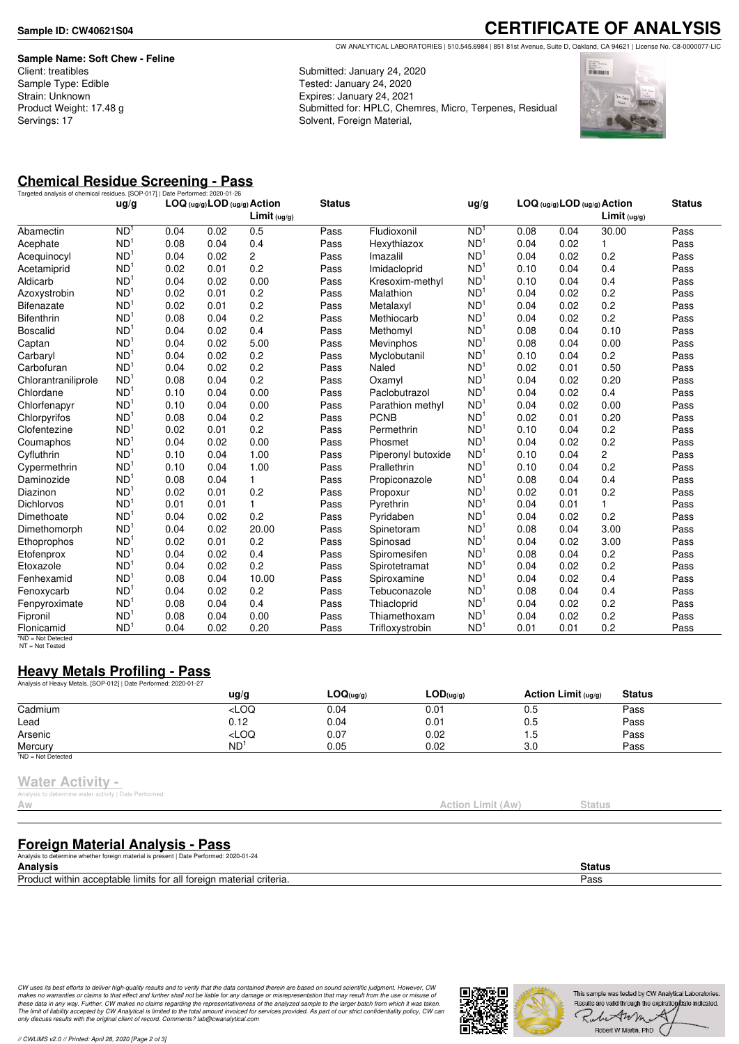**Sample Name: Soft Chew - Feline** Client: treatibles Sample Type: Edible Strain: Unknown Product Weight: 17.48 g Servings: 17

# **CERTIFICATE OF ANALYSIS**

CW ANALYTICAL LABORATORIES | 510.545.6984 | 851 81st Avenue, Suite D, Oakland, CA 94621 | License No. C8-0000077-LIC

Submitted: January 24, 2020 Tested: January 24, 2020 Expires: January 24, 2021 Submitted for: HPLC, Chemres, Micro, Terpenes, Residual Solvent, Foreign Material,



### **Chemical Residue Screening - Pass**

| Targeted analysis of chemical residues. [SOP-017]   Date Performed: 2020-01-26 | uq/q            |      |      | LOG (ug/g) LOD (ug/g) Action<br>Limit <sub>(ug/g)</sub> | <b>Status</b> |                    | ug/g            |      |      | LOG (ug/g) LOD (ug/g) Action<br>Limit (uq/q) | <b>Status</b> |
|--------------------------------------------------------------------------------|-----------------|------|------|---------------------------------------------------------|---------------|--------------------|-----------------|------|------|----------------------------------------------|---------------|
| Abamectin                                                                      | N <sub>D</sub>  | 0.04 | 0.02 | 0.5                                                     | Pass          | Fludioxonil        | N <sub>D</sub>  | 0.08 | 0.04 | 30.00                                        | Pass          |
| Acephate                                                                       | ND <sup>1</sup> | 0.08 | 0.04 | 0.4                                                     | Pass          | Hexythiazox        | N <sub>D</sub>  | 0.04 | 0.02 | $\mathbf{1}$                                 | Pass          |
| Acequinocyl                                                                    | ND <sup>1</sup> | 0.04 | 0.02 | $\overline{c}$                                          | Pass          | Imazalil           | ND              | 0.04 | 0.02 | 0.2                                          | Pass          |
| Acetamiprid                                                                    | ND <sup>1</sup> | 0.02 | 0.01 | 0.2                                                     | Pass          | Imidacloprid       | N <sub>D</sub>  | 0.10 | 0.04 | 0.4                                          | Pass          |
| Aldicarb                                                                       | ND <sup>1</sup> | 0.04 | 0.02 | 0.00                                                    | Pass          | Kresoxim-methyl    | ND <sup>1</sup> | 0.10 | 0.04 | 0.4                                          | Pass          |
| Azoxystrobin                                                                   | ND <sup>1</sup> | 0.02 | 0.01 | 0.2                                                     | Pass          | Malathion          | ND <sup>1</sup> | 0.04 | 0.02 | 0.2                                          | Pass          |
| <b>Bifenazate</b>                                                              | ND <sup>1</sup> | 0.02 | 0.01 | 0.2                                                     | Pass          | Metalaxyl          | ND <sup>1</sup> | 0.04 | 0.02 | 0.2                                          | Pass          |
| <b>Bifenthrin</b>                                                              | ND <sup>1</sup> | 0.08 | 0.04 | 0.2                                                     | Pass          | Methiocarb         | ND <sup>1</sup> | 0.04 | 0.02 | 0.2                                          | Pass          |
| <b>Boscalid</b>                                                                | ND <sup>1</sup> | 0.04 | 0.02 | 0.4                                                     | Pass          | Methomyl           | ND <sup>1</sup> | 0.08 | 0.04 | 0.10                                         | Pass          |
| Captan                                                                         | ND <sup>1</sup> | 0.04 | 0.02 | 5.00                                                    | Pass          | <b>Mevinphos</b>   | ND <sup>1</sup> | 0.08 | 0.04 | 0.00                                         | Pass          |
| Carbaryl                                                                       | ND <sup>1</sup> | 0.04 | 0.02 | 0.2                                                     | Pass          | Myclobutanil       | ND <sup>1</sup> | 0.10 | 0.04 | 0.2                                          | Pass          |
| Carbofuran                                                                     | ND <sup>1</sup> | 0.04 | 0.02 | 0.2                                                     | Pass          | Naled              | ND <sup>1</sup> | 0.02 | 0.01 | 0.50                                         | Pass          |
| Chlorantraniliprole                                                            | ND <sup>1</sup> | 0.08 | 0.04 | 0.2                                                     | Pass          | Oxamyl             | ND <sup>1</sup> | 0.04 | 0.02 | 0.20                                         | Pass          |
| Chlordane                                                                      | ND <sup>1</sup> | 0.10 | 0.04 | 0.00                                                    | Pass          | Paclobutrazol      | N <sub>D</sub>  | 0.04 | 0.02 | 0.4                                          | Pass          |
| Chlorfenapyr                                                                   | ND <sup>1</sup> | 0.10 | 0.04 | 0.00                                                    | Pass          | Parathion methyl   | N <sub>D</sub>  | 0.04 | 0.02 | 0.00                                         | Pass          |
| Chlorpyrifos                                                                   | ND <sup>1</sup> | 0.08 | 0.04 | 0.2                                                     | Pass          | <b>PCNB</b>        | ND <sup>1</sup> | 0.02 | 0.01 | 0.20                                         | Pass          |
| Clofentezine                                                                   | ND <sup>1</sup> | 0.02 | 0.01 | 0.2                                                     | Pass          | Permethrin         | N <sub>D</sub>  | 0.10 | 0.04 | 0.2                                          | Pass          |
| Coumaphos                                                                      | ND <sup>1</sup> | 0.04 | 0.02 | 0.00                                                    | Pass          | Phosmet            | ND <sup>1</sup> | 0.04 | 0.02 | 0.2                                          | Pass          |
| Cyfluthrin                                                                     | ND <sup>1</sup> | 0.10 | 0.04 | 1.00                                                    | Pass          | Piperonyl butoxide | N <sub>D</sub>  | 0.10 | 0.04 | 2                                            | Pass          |
| Cypermethrin                                                                   | ND <sup>1</sup> | 0.10 | 0.04 | 1.00                                                    | Pass          | Prallethrin        | ND <sup>1</sup> | 0.10 | 0.04 | 0.2                                          | Pass          |
| Daminozide                                                                     | ND <sup>1</sup> | 0.08 | 0.04 | 1                                                       | Pass          | Propiconazole      | ND <sup>1</sup> | 0.08 | 0.04 | 0.4                                          | Pass          |
| Diazinon                                                                       | ND <sup>1</sup> | 0.02 | 0.01 | 0.2                                                     | Pass          | Propoxur           | ND <sup>1</sup> | 0.02 | 0.01 | 0.2                                          | Pass          |
| <b>Dichlorvos</b>                                                              | ND <sup>1</sup> | 0.01 | 0.01 | 1                                                       | Pass          | Pyrethrin          | ND <sup>1</sup> | 0.04 | 0.01 | 1                                            | Pass          |
| Dimethoate                                                                     | ND <sup>1</sup> | 0.04 | 0.02 | 0.2                                                     | Pass          | Pyridaben          | ND              | 0.04 | 0.02 | 0.2                                          | Pass          |
| Dimethomorph                                                                   | ND <sup>1</sup> | 0.04 | 0.02 | 20.00                                                   | Pass          | Spinetoram         | ND <sup>1</sup> | 0.08 | 0.04 | 3.00                                         | Pass          |
| Ethoprophos                                                                    | ND <sup>1</sup> | 0.02 | 0.01 | 0.2                                                     | Pass          | Spinosad           | N <sub>D</sub>  | 0.04 | 0.02 | 3.00                                         | Pass          |
| Etofenprox                                                                     | ND <sup>1</sup> | 0.04 | 0.02 | 0.4                                                     | Pass          | Spiromesifen       | ND <sup>1</sup> | 0.08 | 0.04 | 0.2                                          | Pass          |
| Etoxazole                                                                      | ND <sup>1</sup> | 0.04 | 0.02 | 0.2                                                     | Pass          | Spirotetramat      | N <sub>D</sub>  | 0.04 | 0.02 | 0.2                                          | Pass          |
| Fenhexamid                                                                     | ND <sup>1</sup> | 0.08 | 0.04 | 10.00                                                   | Pass          | Spiroxamine        | N <sub>D</sub>  | 0.04 | 0.02 | 0.4                                          | Pass          |
| Fenoxycarb                                                                     | ND <sup>1</sup> | 0.04 | 0.02 | 0.2                                                     | Pass          | Tebuconazole       | ND <sup>1</sup> | 0.08 | 0.04 | 0.4                                          | Pass          |
| Fenpyroximate                                                                  | ND <sup>1</sup> | 0.08 | 0.04 | 0.4                                                     | Pass          | Thiacloprid        | N <sub>D</sub>  | 0.04 | 0.02 | 0.2                                          | Pass          |
| Fipronil                                                                       | ND <sup>1</sup> | 0.08 | 0.04 | 0.00                                                    | Pass          | Thiamethoxam       | ND <sup>1</sup> | 0.04 | 0.02 | 0.2                                          | Pass          |
| Flonicamid<br>$*ND = Not$ Detected                                             | ND <sup>1</sup> | 0.04 | 0.02 | 0.20                                                    | Pass          | Trifloxystrobin    | N <sub>D</sub>  | 0.01 | 0.01 | 0.2                                          | Pass          |

NT = Not Tested

### **Heavy Metals Profiling - Pass**

| Analysis of Heavy Metals. [SOP-012]   Date Performed: 2020-01-27 |                                                                                 |                |           |                       |               |  |
|------------------------------------------------------------------|---------------------------------------------------------------------------------|----------------|-----------|-----------------------|---------------|--|
|                                                                  | $\frac{u}{g}$                                                                   | $LOQ_{(uq/q)}$ | LOD(uq/q) | Action Limit $(uq/q)$ | <b>Status</b> |  |
| Cadmium                                                          | <loq< td=""><td>0.04</td><td>0.01</td><td>0.5</td><td>Pass</td><td></td></loq<> | 0.04           | 0.01      | 0.5                   | Pass          |  |
| Lead                                                             | 0.12                                                                            | 0.04           | 0.01      | 0.5                   | Pass          |  |
| Arsenic                                                          | <loq< td=""><td>0.07</td><td>0.02</td><td>1.5</td><td>Pass</td><td></td></loq<> | 0.07           | 0.02      | 1.5                   | Pass          |  |
| Mercury                                                          | ND <sup>1</sup>                                                                 | 0.05           | 0.02      | 3.0                   | Pass          |  |
| $1ND = Not detected$                                             |                                                                                 |                |           |                       |               |  |

#### **Water Activity -**

is to determine water activity | Date Performed

### **Foreign Material Analysis - Pass**

Analysis to determine whether foreign material is present | Date Performed: 2020-01-24

**Analysis Status** Product within acceptable limits for all foreign material criteria. Pass

CW uses its best efforts to deliver high-quality results and to verify that the data contained therein are based on sound scientific judgment. However, CW<br>makes no warranties or claims to that effect and further shall not *only discuss results with the original client of record. Comments? lab@cwanalytical.com*



Action Limit (Aw) Status